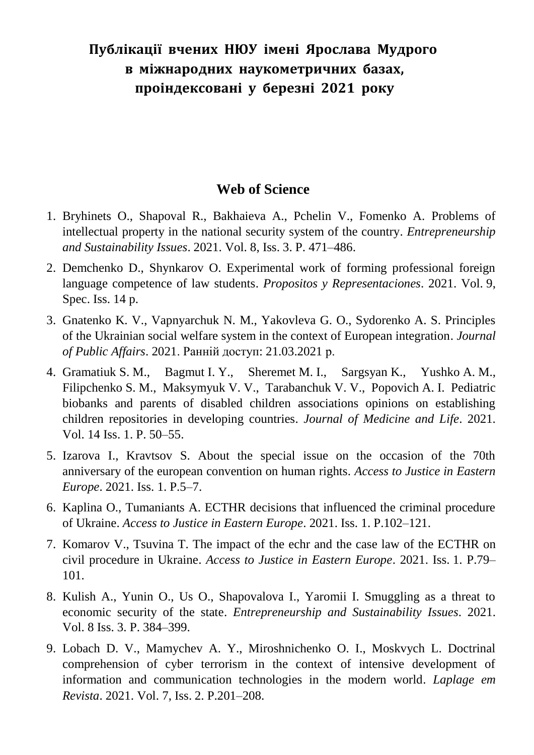## **Публікації вчених НЮУ імені Ярослава Мудрого в міжнародних наукометричних базах, проіндексовані у березні 2021 року**

## **Web of Science**

- 1. Bryhinets O., Shapoval R., Bakhaieva A., Pchelin V., Fomenko A. Problems of intellectual property in the national security system of the country. *Entrepreneurship and Sustainability Issues*. 2021. Vol. 8, Iss. 3. P. 471–486.
- 2. Demchenko D., Shynkarov O. Experimental work of forming professional foreign language competence of law students. *Propositos y Representaciones*. 2021. Vol. 9, Spec. Iss. 14 p.
- 3. Gnatenko K. V., Vapnyarchuk N. M., Yakovleva G. O., Sydorenko A. S. Principles of the Ukrainian social welfare system in the context of European integration. *Journal of Public Affairs*. 2021. Ранній доступ: 21.03.2021 р.
- 4. Gramatiuk S. M., Bagmut I. Y., Sheremet M. I., Sargsyan K., Yushko A. M., Filipchenko S. M., Maksymyuk V. V., Tarabanchuk V. V., Popovich A. I. Pediatric biobanks and parents of disabled children associations opinions on establishing children repositories in developing countries. *Journal of Medicine and Life*. 2021. Vol. 14 Iss. 1. P. 50–55.
- 5. Izarova I., Kravtsov S. About the special issue on the occasion of the 70th anniversary of the european convention on human rights. *Access to Justice in Eastern Europe*. 2021. Iss. 1. P.5–7.
- 6. Kaplina O., Tumaniants A. ECTHR decisions that influenced the criminal procedure of Ukraine. *Access to Justice in Eastern Europe*. 2021. Iss. 1. P.102–121.
- 7. Komarov V., Tsuvina T. The impact of the echr and the case law of the ECTHR on civil procedure in Ukraine. *Access to Justice in Eastern Europe*. 2021. Iss. 1. P.79– 101.
- 8. Kulish A., Yunin O., Us O., Shapovalova I., Yaromii I. Smuggling as a threat to economic security of the state. *Entrepreneurship and Sustainability Issues*. 2021. Vol. 8 Iss. 3. P. 384–399.
- 9. Lobach D. V., Mamychev A. Y., Miroshnichenko O. I., Moskvych L. Doctrinal comprehension of cyber terrorism in the context of intensive development of information and communication technologies in the modern world. *Laplage em Revista*. 2021. Vol. 7, Iss. 2. P.201–208.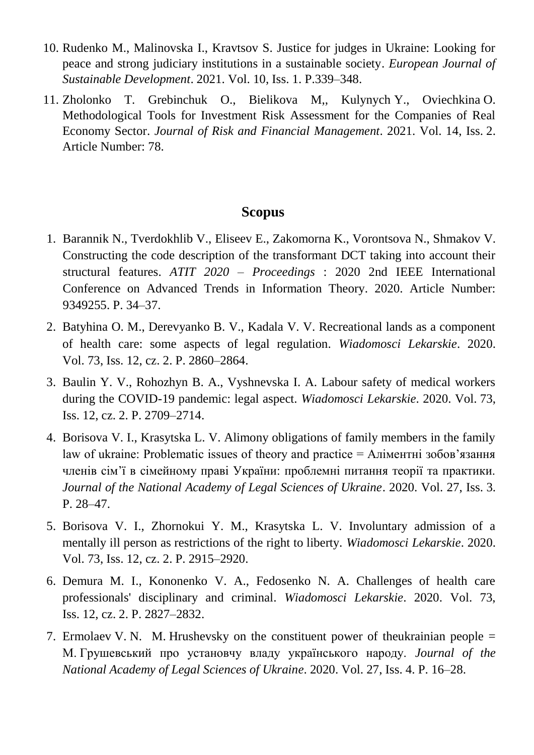- 10. Rudenko M., Malinovska I., Kravtsov S. Justice for judges in Ukraine: Looking for peace and strong judiciary institutions in a sustainable society. *European Journal of Sustainable Development*. 2021. Vol. 10, Iss. 1. P.339–348.
- 11. Zholonko T. Grebinchuk O., Bielikova M,, Kulynych Y., Oviechkina O. Methodological Tools for Investment Risk Assessment for the Companies of Real Economy Sector. *Journal of Risk and Financial Management*. 2021. Vol. 14, Iss. 2. Article Number: 78.

## **Scopus**

- 1. Barannik N., Tverdokhlib V., Eliseev E., Zakomorna K., Vorontsova N., Shmakov V. Constructing the code description of the transformant DCT taking into account their structural features. *ATIT 2020 – Proceedings* : 2020 2nd IEEE International Conference on Advanced Trends in Information Theory. 2020. Article Number: 9349255. P. 34–37.
- 2. Batyhina O. M., Derevyanko B. V., Kadala V. V. Recreational lands as a component of health care: some aspects of legal regulation. *Wiadomosci Lekarskie*. 2020. Vol. 73, Iss. 12, cz. 2. P. 2860–2864.
- 3. Baulin Y. V., Rohozhyn B. A., Vyshnevska I. A. Labour safety of medical workers during the COVID-19 pandemic: legal aspect. *Wiadomosci Lekarskie*. 2020. Vol. 73, Iss. 12, cz. 2. P. 2709–2714.
- 4. Borisova V. I., Krasytska L. V. Alimony obligations of family members in the family law of ukraine: Problematic issues of theory and practice = Аліментні зобов'язання членів сім'ї в сімейному праві України: проблемні питання теорії та практики. *Journal of the National Academy of Legal Sciences of Ukraine*. 2020. Vol. 27, Iss. 3. P. 28–47.
- 5. Borisova V. I., Zhornokui Y. M., Krasytska L. V. Involuntary admission of a mentally ill person as restrictions of the right to liberty. *Wiadomosci Lekarskie*. 2020. Vol. 73, Iss. 12, cz. 2. P. 2915–2920.
- 6. Demura M. I., Kononenko V. A., Fedosenko N. A. Challenges of health care professionals' disciplinary and criminal. *Wiadomosci Lekarskie*. 2020. Vol. 73, Iss. 12, cz. 2. P. 2827–2832.
- 7. Ermolaev V. N. M. Hrushevsky on the constituent power of theukrainian people = М. Грушевський про установчу владу українського народу. *Journal of the National Academy of Legal Sciences of Ukraine*. 2020. Vol. 27, Iss. 4. P. 16–28.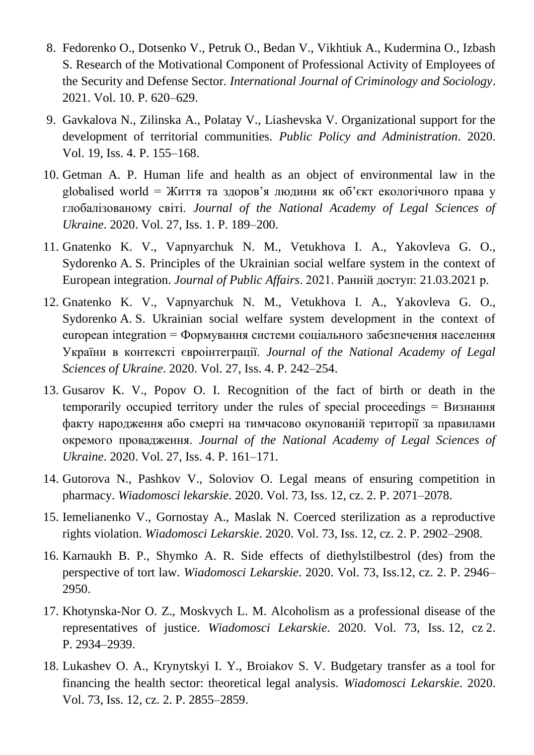- 8. Fedorenko O., Dotsenko V., Petruk O., Bedan V., Vikhtiuk A., Kudermina O., Izbash S. Research of the Motivational Component of Professional Activity of Employees of the Security and Defense Sector. *International Journal of Criminology and Sociology*. 2021. Vol. 10. P. 620–629.
- 9. Gavkalova N., Zilinska A., Polatay V., Liashevska V. Organizational support for the development of territorial communities. *Public Policy and Administration*. 2020. Vol. 19, Iss. 4. P. 155–168.
- 10. Getman A. P. Human life and health as an object of environmental law in the globalised world = Життя та здоров'я людини як об'єкт екологічного права у глобалізованому світі. *Journal of the National Academy of Legal Sciences of Ukraine*. 2020. Vol. 27, Iss. 1. P. 189–200.
- 11. Gnatenko K. V., Vapnyarchuk N. M., Vetukhova I. A., Yakovleva G. O., Sydorenko A. S. Principles of the Ukrainian social welfare system in the context of European integration. *Journal of Public Affairs*. 2021. Ранній доступ: 21.03.2021 р.
- 12. Gnatenko K. V., Vapnyarchuk N. M., Vetukhova I. A., Yakovleva G. O., Sydorenko A. S. Ukrainian social welfare system development in the context of european integration = Формування системи соціального забезпечення населення України в контексті євроінтеграції. *Journal of the National Academy of Legal Sciences of Ukraine*. 2020. Vol. 27, Iss. 4. P. 242–254.
- 13. Gusarov K. V., Popov O. I. Recognition of the fact of birth or death in the temporarily occupied territory under the rules of special proceedings = Визнання факту народження або смерті на тимчасово окупованій території за правилами окремого провадження. *Journal of the National Academy of Legal Sciences of Ukraine*. 2020. Vol. 27, Iss. 4. P. 161–171.
- 14. Gutorova N., Pashkov V., Soloviov O. Legal means of ensuring competition in pharmacy. *Wiadomosci lekarskie*. 2020. Vol. 73, Iss. 12, cz. 2. P. 2071–2078.
- 15. Iemelianenko V., Gornostay A., Maslak N. Coerced sterilization as a reproductive rights violation. *Wiadomosci Lekarskie*. 2020. Vol. 73, Iss. 12, cz. 2. P. 2902–2908.
- 16. Karnaukh B. P., Shymko A. R. Side effects of diethylstilbestrol (des) from the perspective of tort law. *Wiadomosci Lekarskie*. 2020. Vol. 73, Iss.12, cz. 2. P. 2946– 2950.
- 17. Khotynska-Nor O. Z., Moskvych L. M. Alcoholism as a professional disease of the representatives of justice. *Wiadomosci Lekarskie*. 2020. Vol. 73, Iss. 12, cz 2. P. 2934–2939.
- 18. Lukashev O. A., Krynytskyi I. Y., Broiakov S. V. Budgetary transfer as a tool for financing the health sector: theoretical legal analysis. *Wiadomosci Lekarskie*. 2020. Vol. 73, Iss. 12, cz. 2. P. 2855–2859.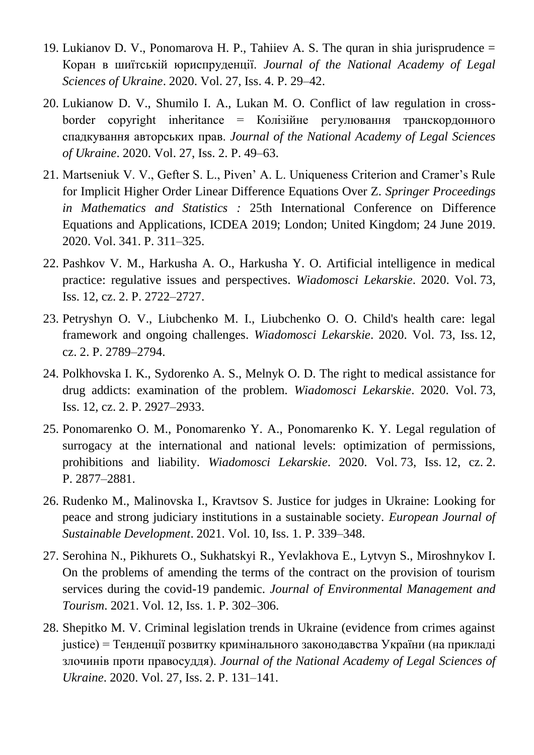- 19. Lukianov D. V., Ponomarova H. P., Tahiiev A. S. The quran in shia jurisprudence = Коран в шиїтській юриспруденції. *Journal of the National Academy of Legal Sciences of Ukraine*. 2020. Vol. 27, Iss. 4. P. 29–42.
- 20. Lukianow D. V., Shumilo I. A., Lukan M. O. Conflict of law regulation in cross $border$  copyright inheritance = Колізійне регулювання транскордонного спадкування авторських прав. *Journal of the National Academy of Legal Sciences of Ukraine*. 2020. Vol. 27, Iss. 2. P. 49–63.
- 21. Martseniuk V. V., Gefter S. L., Piven' A. L. Uniqueness Criterion and Cramer's Rule for Implicit Higher Order Linear Difference Equations Over Z. *Springer Proceedings in Mathematics and Statistics :* 25th International Conference on Difference Equations and Applications, ICDEA 2019; London; United Kingdom; 24 June 2019. 2020. Vol. 341. P. 311–325.
- 22. Pashkov V. M., Harkusha A. O., Harkusha Y. O. Artificial intelligence in medical practice: regulative issues and perspectives. *Wiadomosci Lekarskie*. 2020. Vol. 73, Iss. 12, cz. 2. P. 2722–2727.
- 23. Petryshyn O. V., Liubchenko M. I., Liubchenko O. O. Child's health care: legal framework and ongoing challenges. *Wiadomosci Lekarskie*. 2020. Vol. 73, Iss. 12, cz. 2. P. 2789–2794.
- 24. Polkhovska I. K., Sydorenko A. S., Melnyk O. D. The right to medical assistance for drug addicts: examination of the problem. *Wiadomosci Lekarskie*. 2020. Vol. 73, Iss. 12, cz. 2. P. 2927–2933.
- 25. Ponomarenko O. M., Ponomarenko Y. A., Ponomarenko K. Y. Legal regulation of surrogacy at the international and national levels: optimization of permissions, prohibitions and liability. *Wiadomosci Lekarskie*. 2020. Vol. 73, Iss. 12, cz. 2. P. 2877–2881.
- 26. Rudenko M., Malinovska I., Kravtsov S. Justice for judges in Ukraine: Looking for peace and strong judiciary institutions in a sustainable society. *European Journal of Sustainable Development*. 2021. Vol. 10, Iss. 1. P. 339–348.
- 27. Serohina N., Pikhurets O., Sukhatskyi R., Yevlakhova E., Lytvyn S., Miroshnykov I. On the problems of amending the terms of the contract on the provision of tourism services during the covid-19 pandemic. *Journal of Environmental Management and Tourism*. 2021. Vol. 12, Iss. 1. P. 302–306.
- 28. Shepitko M. V. Criminal legislation trends in Ukraine (evidence from crimes against justice) = Тенденції розвитку кримінального законодавства України (на прикладі злочинів проти правосуддя). *Journal of the National Academy of Legal Sciences of Ukraine*. 2020. Vol. 27, Iss. 2. P. 131–141.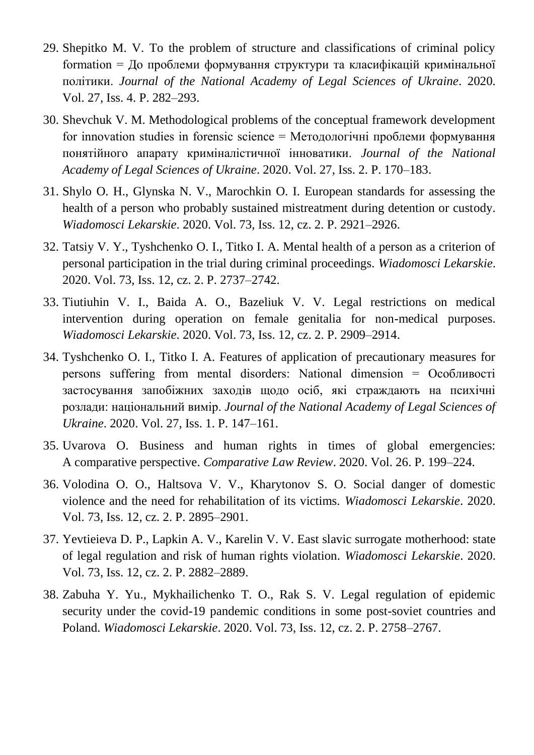- 29. Shepitko M. V. To the problem of structure and classifications of criminal policy formation = До проблеми формування структури та класифікацій кримінальної політики. *Journal of the National Academy of Legal Sciences of Ukraine*. 2020. Vol. 27, Iss. 4. P. 282–293.
- 30. Shevchuk V. M. Methodological problems of the conceptual framework development for innovation studies in forensic science = Методологічні проблеми формування понятійного апарату криміналістичної інноватики. *Journal of the National Academy of Legal Sciences of Ukraine*. 2020. Vol. 27, Iss. 2. P. 170–183.
- 31. Shylo O. H., Glynska N. V., Marochkin O. I. European standards for assessing the health of a person who probably sustained mistreatment during detention or custody. *Wiadomosci Lekarskie*. 2020. Vol. 73, Iss. 12, cz. 2. P. 2921–2926.
- 32. Tatsiy V. Y., Tyshchenko O. I., Titko I. A. Mental health of a person as a criterion of personal participation in the trial during criminal proceedings. *Wiadomosci Lekarskie*. 2020. Vol. 73, Iss. 12, cz. 2. P. 2737–2742.
- 33. Tiutiuhin V. I., Baida A. O., Bazeliuk V. V. Legal restrictions on medical intervention during operation on female genitalia for non-medical purposes. *Wiadomosci Lekarskie*. 2020. Vol. 73, Iss. 12, cz. 2. P. 2909–2914.
- 34. Tyshchenko O. I., Titko I. A. Features of application of precautionary measures for persons suffering from mental disorders: National dimension = Особливості застосування запобіжних заходів щодо осіб, які страждають на психічні розлади: національний вимір. *Journal of the National Academy of Legal Sciences of Ukraine*. 2020. Vol. 27, Iss. 1. P. 147–161.
- 35. Uvarova O. Business and human rights in times of global emergencies: A comparative perspective. *Comparative Law Review*. 2020. Vol. 26. P. 199–224.
- 36. Volodina O. O., Haltsova V. V., Kharytonov S. O. Social danger of domestic violence and the need for rehabilitation of its victims. *Wiadomosci Lekarskie*. 2020. Vol. 73, Iss. 12, cz. 2. P. 2895–2901.
- 37. Yevtieieva D. P., Lapkin A. V., Karelin V. V. East slavic surrogate motherhood: state of legal regulation and risk of human rights violation. *Wiadomosci Lekarskie*. 2020. Vol. 73, Iss. 12, cz. 2. P. 2882–2889.
- 38. Zabuha Y. Yu., Mykhailichenko T. O., Rak S. V. Legal regulation of epidemic security under the covid-19 pandemic conditions in some post-soviet countries and Poland. *Wiadomosci Lekarskie*. 2020. Vol. 73, Iss. 12, cz. 2. P. 2758–2767.